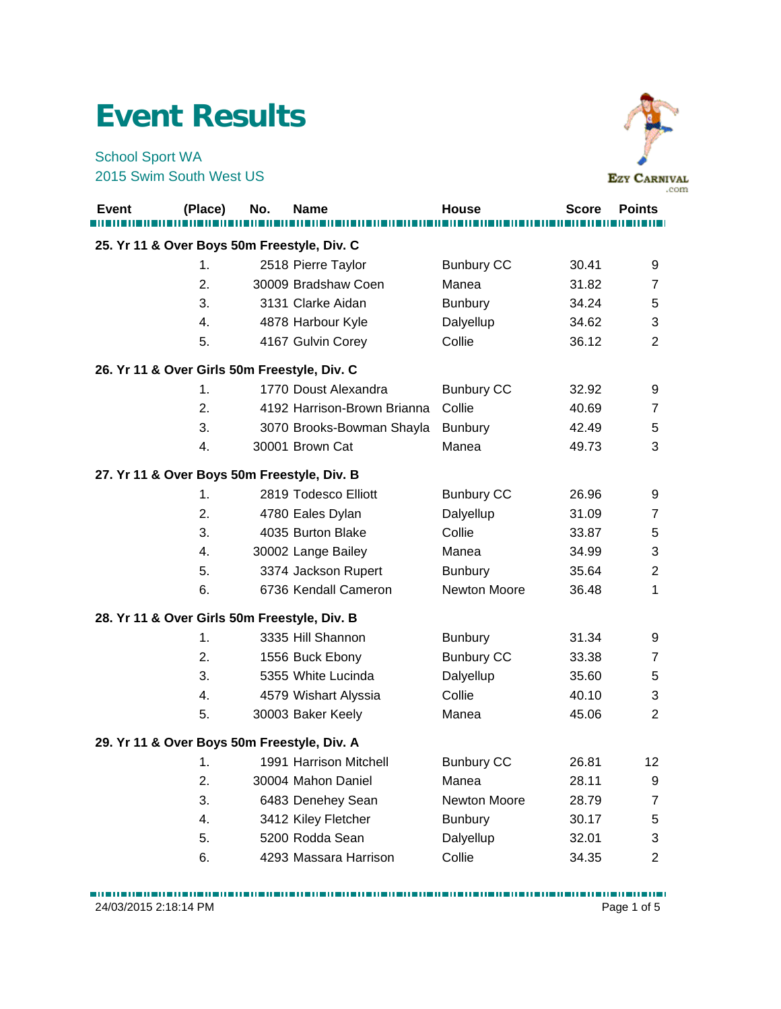## **Event Results**

School Sport WA 2015 Swim South West US



|       |                                              |     |                             |                     |              | .com           |
|-------|----------------------------------------------|-----|-----------------------------|---------------------|--------------|----------------|
| Event | (Place)                                      | No. | <b>Name</b>                 | <b>House</b>        | <b>Score</b> | <b>Points</b>  |
|       | 25. Yr 11 & Over Boys 50m Freestyle, Div. C  |     |                             |                     |              |                |
|       | 1.                                           |     | 2518 Pierre Taylor          | <b>Bunbury CC</b>   | 30.41        | 9              |
|       | 2.                                           |     | 30009 Bradshaw Coen         | Manea               | 31.82        | 7              |
|       | 3.                                           |     | 3131 Clarke Aidan           | <b>Bunbury</b>      | 34.24        | 5              |
|       | 4.                                           |     | 4878 Harbour Kyle           | Dalyellup           | 34.62        | 3              |
|       | 5.                                           |     | 4167 Gulvin Corey           | Collie              | 36.12        | 2              |
|       | 26. Yr 11 & Over Girls 50m Freestyle, Div. C |     |                             |                     |              |                |
|       | 1.                                           |     | 1770 Doust Alexandra        | <b>Bunbury CC</b>   | 32.92        | 9              |
|       | 2.                                           |     | 4192 Harrison-Brown Brianna | Collie              | 40.69        | 7              |
|       | 3.                                           |     | 3070 Brooks-Bowman Shayla   | <b>Bunbury</b>      | 42.49        | 5              |
|       | 4.                                           |     | 30001 Brown Cat             | Manea               | 49.73        | 3              |
|       | 27. Yr 11 & Over Boys 50m Freestyle, Div. B  |     |                             |                     |              |                |
|       | 1.                                           |     | 2819 Todesco Elliott        | <b>Bunbury CC</b>   | 26.96        | 9              |
|       | 2.                                           |     | 4780 Eales Dylan            | Dalyellup           | 31.09        | 7              |
|       | 3.                                           |     | 4035 Burton Blake           | Collie              | 33.87        | 5              |
|       | 4.                                           |     | 30002 Lange Bailey          | Manea               | 34.99        | 3              |
|       | 5.                                           |     | 3374 Jackson Rupert         | <b>Bunbury</b>      | 35.64        | $\overline{2}$ |
|       | 6.                                           |     | 6736 Kendall Cameron        | <b>Newton Moore</b> | 36.48        | 1              |
|       | 28. Yr 11 & Over Girls 50m Freestyle, Div. B |     |                             |                     |              |                |
|       | 1.                                           |     | 3335 Hill Shannon           | <b>Bunbury</b>      | 31.34        | 9              |
|       | 2.                                           |     | 1556 Buck Ebony             | <b>Bunbury CC</b>   | 33.38        | 7              |
|       | 3.                                           |     | 5355 White Lucinda          | Dalyellup           | 35.60        | 5              |
|       | 4.                                           |     | 4579 Wishart Alyssia        | Collie              | 40.10        | 3              |
|       | 5.                                           |     | 30003 Baker Keely           | Manea               | 45.06        | $\overline{2}$ |
|       | 29. Yr 11 & Over Boys 50m Freestyle, Div. A  |     |                             |                     |              |                |
|       | 1.                                           |     | 1991 Harrison Mitchell      | <b>Bunbury CC</b>   | 26.81        | 12             |
|       | 2.                                           |     | 30004 Mahon Daniel          | Manea               | 28.11        | 9              |
|       | 3.                                           |     | 6483 Denehey Sean           | Newton Moore        | 28.79        | 7              |
|       | 4.                                           |     | 3412 Kiley Fletcher         | <b>Bunbury</b>      | 30.17        | 5              |
|       | 5.                                           |     | 5200 Rodda Sean             | Dalyellup           | 32.01        | 3              |
|       | 6.                                           |     | 4293 Massara Harrison       | Collie              | 34.35        | $\overline{2}$ |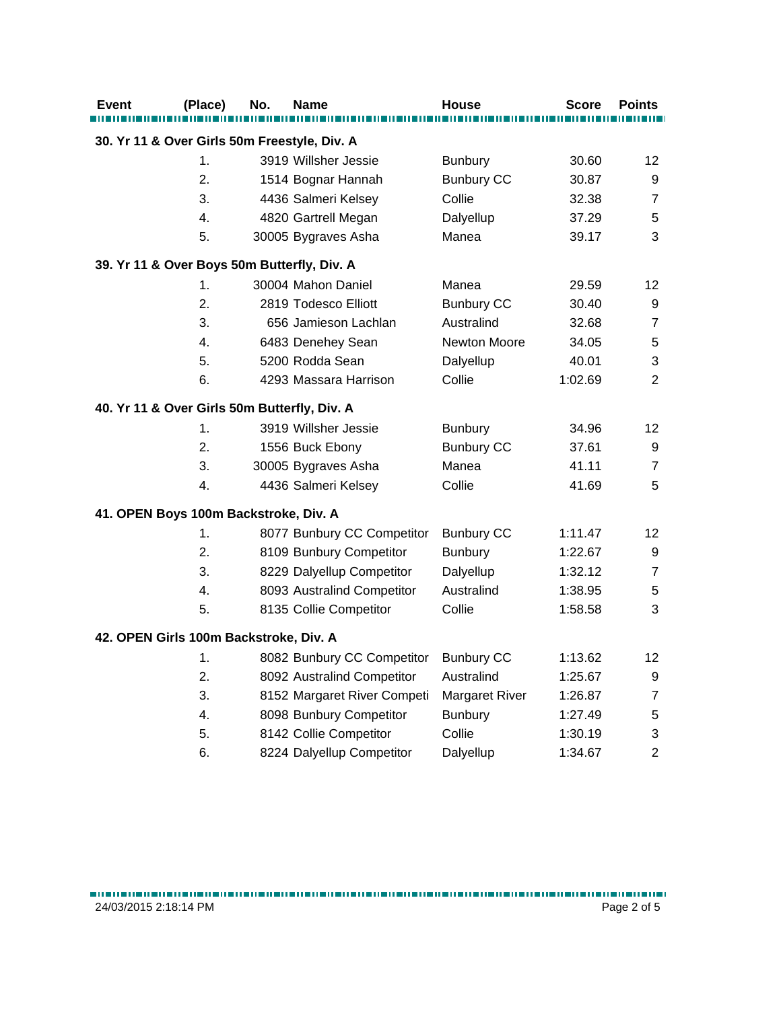| <b>Event</b> | (Place)                                      | No. | Name                        | House                 | <b>Score</b> | <b>Points</b>  |
|--------------|----------------------------------------------|-----|-----------------------------|-----------------------|--------------|----------------|
|              |                                              |     |                             |                       |              |                |
|              | 30. Yr 11 & Over Girls 50m Freestyle, Div. A |     |                             |                       |              |                |
|              | 1.                                           |     | 3919 Willsher Jessie        | <b>Bunbury</b>        | 30.60        | 12             |
|              | 2.                                           |     | 1514 Bognar Hannah          | <b>Bunbury CC</b>     | 30.87        | 9              |
|              | 3.                                           |     | 4436 Salmeri Kelsey         | Collie                | 32.38        | $\overline{7}$ |
|              | 4.                                           |     | 4820 Gartrell Megan         | Dalyellup             | 37.29        | 5              |
|              | 5.                                           |     | 30005 Bygraves Asha         | Manea                 | 39.17        | 3              |
|              | 39. Yr 11 & Over Boys 50m Butterfly, Div. A  |     |                             |                       |              |                |
|              | 1.                                           |     | 30004 Mahon Daniel          | Manea                 | 29.59        | 12             |
|              | 2.                                           |     | 2819 Todesco Elliott        | <b>Bunbury CC</b>     | 30.40        | 9              |
|              | 3.                                           |     | 656 Jamieson Lachlan        | Australind            | 32.68        | $\overline{7}$ |
|              | 4.                                           |     | 6483 Denehey Sean           | Newton Moore          | 34.05        | 5              |
|              | 5.                                           |     | 5200 Rodda Sean             | Dalyellup             | 40.01        | 3              |
|              | 6.                                           |     | 4293 Massara Harrison       | Collie                | 1:02.69      | $\overline{2}$ |
|              | 40. Yr 11 & Over Girls 50m Butterfly, Div. A |     |                             |                       |              |                |
|              | 1.                                           |     | 3919 Willsher Jessie        | <b>Bunbury</b>        | 34.96        | 12             |
|              | 2.                                           |     | 1556 Buck Ebony             | <b>Bunbury CC</b>     | 37.61        | 9              |
|              | 3.                                           |     | 30005 Bygraves Asha         | Manea                 | 41.11        | $\overline{7}$ |
|              | 4.                                           |     | 4436 Salmeri Kelsey         | Collie                | 41.69        | 5              |
|              | 41. OPEN Boys 100m Backstroke, Div. A        |     |                             |                       |              |                |
|              | 1.                                           |     | 8077 Bunbury CC Competitor  | <b>Bunbury CC</b>     | 1:11.47      | 12             |
|              | 2.                                           |     | 8109 Bunbury Competitor     | <b>Bunbury</b>        | 1:22.67      | 9              |
|              | 3.                                           |     | 8229 Dalyellup Competitor   | Dalyellup             | 1:32.12      | $\overline{7}$ |
|              | 4.                                           |     | 8093 Australind Competitor  | Australind            | 1:38.95      | $\,$ 5 $\,$    |
|              | 5.                                           |     | 8135 Collie Competitor      | Collie                | 1:58.58      | 3              |
|              | 42. OPEN Girls 100m Backstroke, Div. A       |     |                             |                       |              |                |
|              | 1.                                           |     | 8082 Bunbury CC Competitor  | <b>Bunbury CC</b>     | 1:13.62      | 12             |
|              | 2.                                           |     | 8092 Australind Competitor  | Australind            | 1:25.67      | 9              |
|              | 3.                                           |     | 8152 Margaret River Competi | <b>Margaret River</b> | 1:26.87      | $\overline{7}$ |
|              | 4.                                           |     | 8098 Bunbury Competitor     | <b>Bunbury</b>        | 1:27.49      | $\,$ 5 $\,$    |
|              | 5.                                           |     | 8142 Collie Competitor      | Collie                | 1:30.19      | 3              |
|              | 6.                                           |     | 8224 Dalyellup Competitor   | Dalyellup             | 1:34.67      | $\overline{2}$ |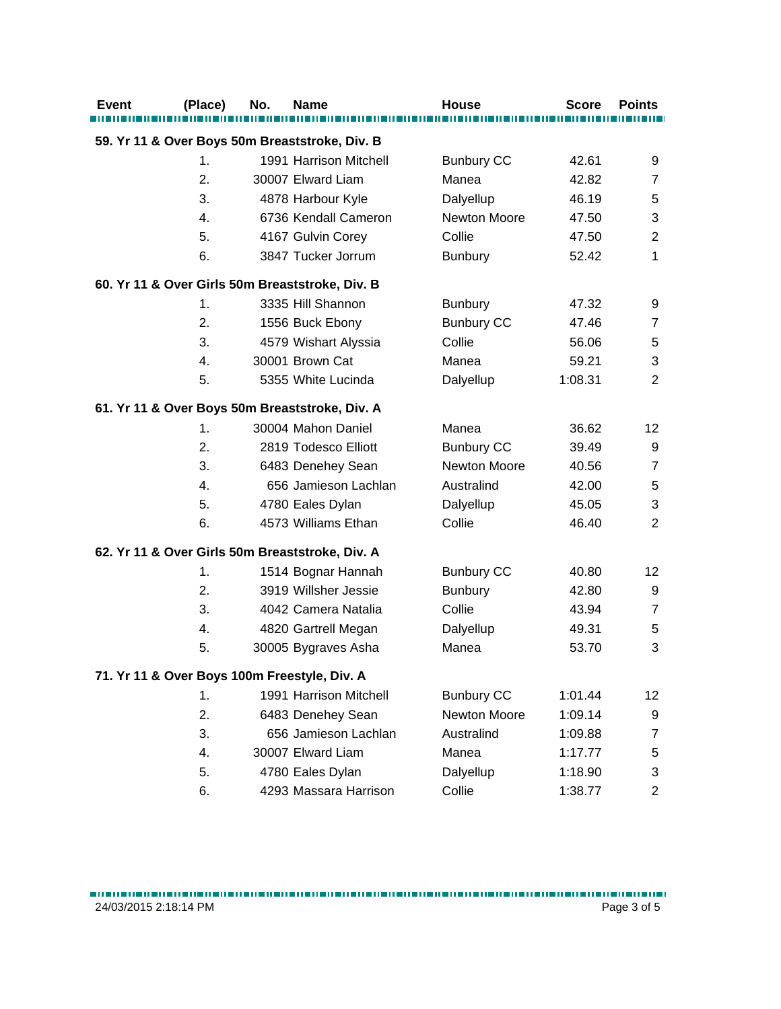| Event | (Place)                                      | No. | Name                                            | <b>House</b>        | <b>Score</b> | <b>Points</b>    |
|-------|----------------------------------------------|-----|-------------------------------------------------|---------------------|--------------|------------------|
|       |                                              |     | 59. Yr 11 & Over Boys 50m Breaststroke, Div. B  |                     |              |                  |
|       | 1.                                           |     | 1991 Harrison Mitchell                          | <b>Bunbury CC</b>   | 42.61        | 9                |
|       | 2.                                           |     | 30007 Elward Liam                               | Manea               | 42.82        | $\overline{7}$   |
|       | 3.                                           |     | 4878 Harbour Kyle                               | Dalyellup           | 46.19        | 5                |
|       | 4.                                           |     | 6736 Kendall Cameron                            | Newton Moore        | 47.50        | 3                |
|       | 5.                                           |     | 4167 Gulvin Corey                               | Collie              | 47.50        | $\boldsymbol{2}$ |
|       | 6.                                           |     | 3847 Tucker Jorrum                              | <b>Bunbury</b>      | 52.42        | $\mathbf{1}$     |
|       |                                              |     | 60. Yr 11 & Over Girls 50m Breaststroke, Div. B |                     |              |                  |
|       | 1.                                           |     | 3335 Hill Shannon                               | <b>Bunbury</b>      | 47.32        | 9                |
|       | 2.                                           |     | 1556 Buck Ebony                                 | <b>Bunbury CC</b>   | 47.46        | $\overline{7}$   |
|       | 3.                                           |     | 4579 Wishart Alyssia                            | Collie              | 56.06        | 5                |
|       | 4.                                           |     | 30001 Brown Cat                                 | Manea               | 59.21        | 3                |
|       | 5.                                           |     | 5355 White Lucinda                              | Dalyellup           | 1:08.31      | $\overline{2}$   |
|       |                                              |     | 61. Yr 11 & Over Boys 50m Breaststroke, Div. A  |                     |              |                  |
|       | 1.                                           |     | 30004 Mahon Daniel                              | Manea               | 36.62        | 12               |
|       | 2.                                           |     | 2819 Todesco Elliott                            | <b>Bunbury CC</b>   | 39.49        | 9                |
|       | 3.                                           |     | 6483 Denehey Sean                               | <b>Newton Moore</b> | 40.56        | $\overline{7}$   |
|       | 4.                                           |     | 656 Jamieson Lachlan                            | Australind          | 42.00        | 5                |
|       | 5.                                           |     | 4780 Eales Dylan                                | Dalyellup           | 45.05        | 3                |
|       | 6.                                           |     | 4573 Williams Ethan                             | Collie              | 46.40        | $\overline{2}$   |
|       |                                              |     | 62. Yr 11 & Over Girls 50m Breaststroke, Div. A |                     |              |                  |
|       | 1.                                           |     | 1514 Bognar Hannah                              | <b>Bunbury CC</b>   | 40.80        | 12               |
|       | 2.                                           |     | 3919 Willsher Jessie                            | <b>Bunbury</b>      | 42.80        | 9                |
|       | 3.                                           |     | 4042 Camera Natalia                             | Collie              | 43.94        | $\overline{7}$   |
|       | 4.                                           |     | 4820 Gartrell Megan                             | Dalyellup           | 49.31        | 5                |
|       | 5.                                           |     | 30005 Bygraves Asha                             | Manea               | 53.70        | 3                |
|       | 71. Yr 11 & Over Boys 100m Freestyle, Div. A |     |                                                 |                     |              |                  |
|       | 1.                                           |     | 1991 Harrison Mitchell                          | <b>Bunbury CC</b>   | 1:01.44      | 12               |
|       | 2.                                           |     | 6483 Denehey Sean                               | Newton Moore        | 1:09.14      | 9                |
|       | 3.                                           |     | 656 Jamieson Lachlan                            | Australind          | 1:09.88      | $\overline{7}$   |
|       | 4.                                           |     | 30007 Elward Liam                               | Manea               | 1:17.77      | 5                |
|       | 5.                                           |     | 4780 Eales Dylan                                | Dalyellup           | 1:18.90      | 3                |
|       | 6.                                           |     | 4293 Massara Harrison                           | Collie              | 1:38.77      | $\overline{c}$   |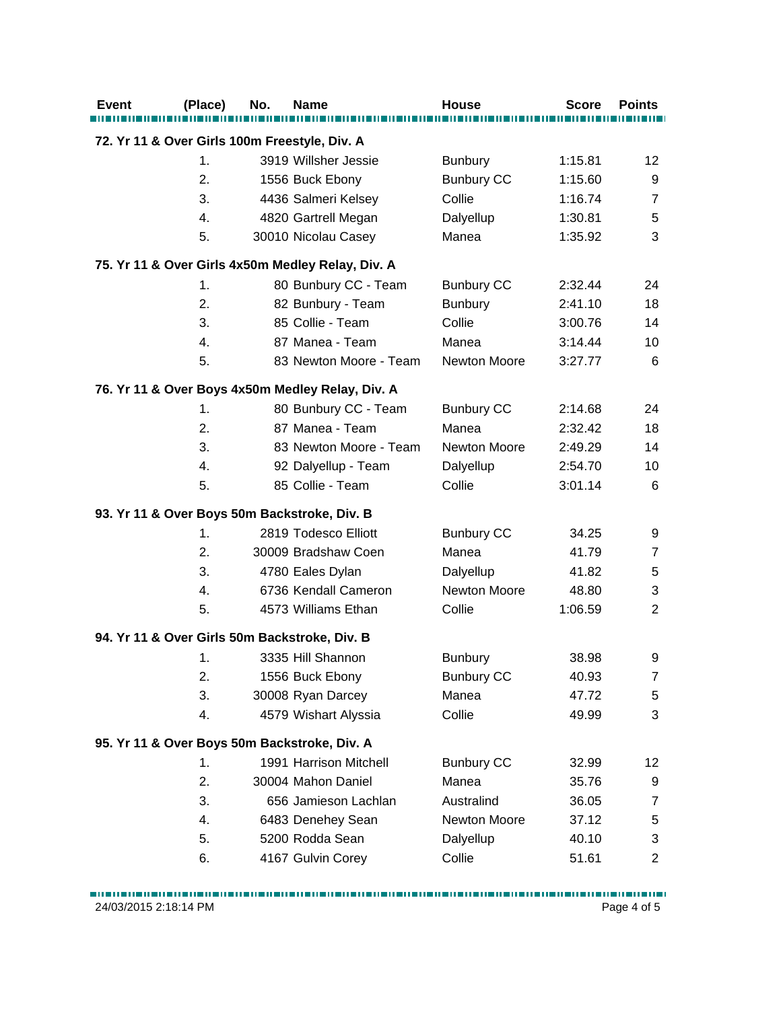| <b>Event</b> | (Place) | No. | Name                                              | House               | <b>Score</b> | <b>Points</b>  |
|--------------|---------|-----|---------------------------------------------------|---------------------|--------------|----------------|
|              |         |     |                                                   |                     |              |                |
|              |         |     | 72. Yr 11 & Over Girls 100m Freestyle, Div. A     |                     |              |                |
|              | 1.      |     | 3919 Willsher Jessie                              | <b>Bunbury</b>      | 1:15.81      | 12             |
|              | 2.      |     | 1556 Buck Ebony                                   | <b>Bunbury CC</b>   | 1:15.60      | 9              |
|              | 3.      |     | 4436 Salmeri Kelsey                               | Collie              | 1:16.74      | $\overline{7}$ |
|              | 4.      |     | 4820 Gartrell Megan                               | Dalyellup           | 1:30.81      | 5              |
|              | 5.      |     | 30010 Nicolau Casey                               | Manea               | 1:35.92      | 3              |
|              |         |     | 75. Yr 11 & Over Girls 4x50m Medley Relay, Div. A |                     |              |                |
|              | 1.      |     | 80 Bunbury CC - Team                              | <b>Bunbury CC</b>   | 2:32.44      | 24             |
|              | 2.      |     | 82 Bunbury - Team                                 | <b>Bunbury</b>      | 2:41.10      | 18             |
|              | 3.      |     | 85 Collie - Team                                  | Collie              | 3:00.76      | 14             |
|              | 4.      |     | 87 Manea - Team                                   | Manea               | 3:14.44      | 10             |
|              | 5.      |     | 83 Newton Moore - Team                            | <b>Newton Moore</b> | 3:27.77      | 6              |
|              |         |     | 76. Yr 11 & Over Boys 4x50m Medley Relay, Div. A  |                     |              |                |
|              | 1.      |     | 80 Bunbury CC - Team                              | <b>Bunbury CC</b>   | 2:14.68      | 24             |
|              | 2.      |     | 87 Manea - Team                                   | Manea               | 2:32.42      | 18             |
|              | 3.      |     | 83 Newton Moore - Team                            | Newton Moore        | 2:49.29      | 14             |
|              | 4.      |     | 92 Dalyellup - Team                               | Dalyellup           | 2:54.70      | 10             |
|              | 5.      |     | 85 Collie - Team                                  | Collie              | 3:01.14      | 6              |
|              |         |     | 93. Yr 11 & Over Boys 50m Backstroke, Div. B      |                     |              |                |
|              | 1.      |     | 2819 Todesco Elliott                              | <b>Bunbury CC</b>   | 34.25        | 9              |
|              | 2.      |     | 30009 Bradshaw Coen                               | Manea               | 41.79        | $\overline{7}$ |
|              | 3.      |     | 4780 Eales Dylan                                  | Dalyellup           | 41.82        | 5              |
|              | 4.      |     | 6736 Kendall Cameron                              | Newton Moore        | 48.80        | 3              |
|              | 5.      |     | 4573 Williams Ethan                               | Collie              | 1:06.59      | $\overline{2}$ |
|              |         |     |                                                   |                     |              |                |
|              |         |     | 94. Yr 11 & Over Girls 50m Backstroke, Div. B     |                     |              |                |
|              | 1.      |     | 3335 Hill Shannon                                 | <b>Bunbury</b>      | 38.98        | 9              |
|              | 2.      |     | 1556 Buck Ebony                                   | <b>Bunbury CC</b>   | 40.93        | 7              |
|              | 3.      |     | 30008 Ryan Darcey                                 | Manea               | 47.72        | $\,$ 5 $\,$    |
|              | 4.      |     | 4579 Wishart Alyssia                              | Collie              | 49.99        | 3              |
|              |         |     | 95. Yr 11 & Over Boys 50m Backstroke, Div. A      |                     |              |                |
|              | 1.      |     | 1991 Harrison Mitchell                            | <b>Bunbury CC</b>   | 32.99        | 12             |
|              | 2.      |     | 30004 Mahon Daniel                                | Manea               | 35.76        | 9              |
|              | 3.      |     | 656 Jamieson Lachlan                              | Australind          | 36.05        | $\overline{7}$ |
|              | 4.      |     | 6483 Denehey Sean                                 | Newton Moore        | 37.12        | 5              |
|              | 5.      |     | 5200 Rodda Sean                                   | Dalyellup           | 40.10        | 3              |
|              | 6.      |     | 4167 Gulvin Corey                                 | Collie              | 51.61        | $\overline{2}$ |